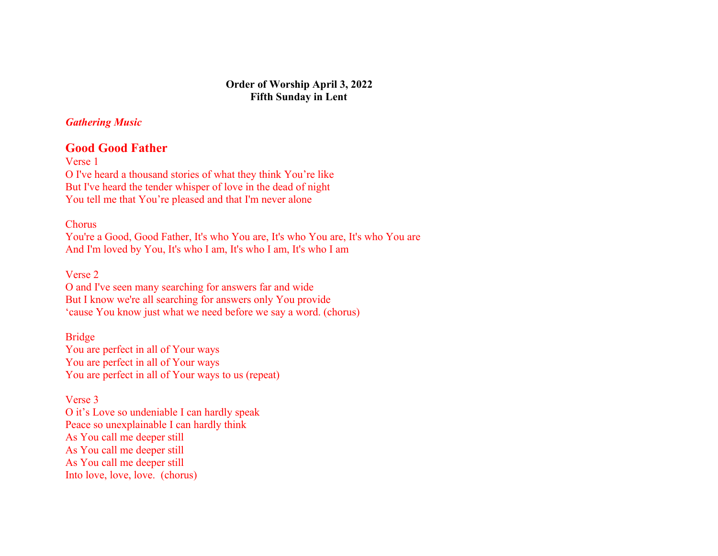### **Order of Worship April 3, 2022 Fifth Sunday in Lent**

# *Gathering Music*

# **Good Good Father**

Verse 1 O I've heard a thousand stories of what they think You're like But I've heard the tender whisper of love in the dead of night You tell me that You're pleased and that I'm never alone

Chorus

You're a Good, Good Father, It's who You are, It's who You are, It's who You are And I'm loved by You, It's who I am, It's who I am, It's who I am

Verse 2

O and I've seen many searching for answers far and wide But I know we're all searching for answers only You provide 'cause You know just what we need before we say a word. (chorus)

Bridge You are perfect in all of Your ways You are perfect in all of Your ways You are perfect in all of Your ways to us (repeat)

Verse 3

O it's Love so undeniable I can hardly speak Peace so unexplainable I can hardly think As You call me deeper still As You call me deeper still As You call me deeper still Into love, love, love. (chorus)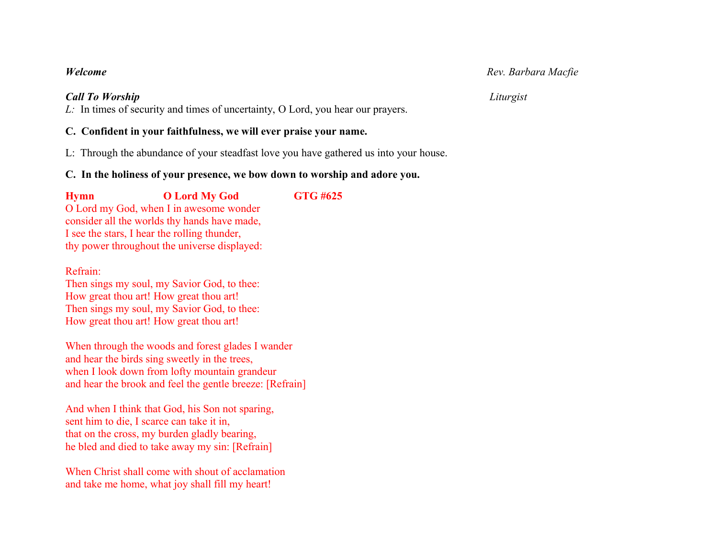#### *Welcome Rev. Barbara Macfie*

### *Call To Worship Liturgist*

*L:* In times of security and times of uncertainty, O Lord, you hear our prayers.

#### **C. Confident in your faithfulness, we will ever praise your name.**

L: Through the abundance of your steadfast love you have gathered us into your house.

### **C. In the holiness of your presence, we bow down to worship and adore you.**

**Hymn O Lord My God GTG #625** O Lord my God, when I in awesome wonder consider all the worlds thy hands have made, I see the stars, I hear the rolling thunder, thy power throughout the universe displayed:

#### Refrain:

Then sings my soul, my Savior God, to thee: How great thou art! How great thou art! Then sings my soul, my Savior God, to thee: How great thou art! How great thou art!

When through the woods and forest glades I wander and hear the birds sing sweetly in the trees, when I look down from lofty mountain grandeur and hear the brook and feel the gentle breeze: [Refrain]

And when I think that God, his Son not sparing, sent him to die, I scarce can take it in, that on the cross, my burden gladly bearing, he bled and died to take away my sin: [Refrain]

When Christ shall come with shout of acclamation and take me home, what joy shall fill my heart!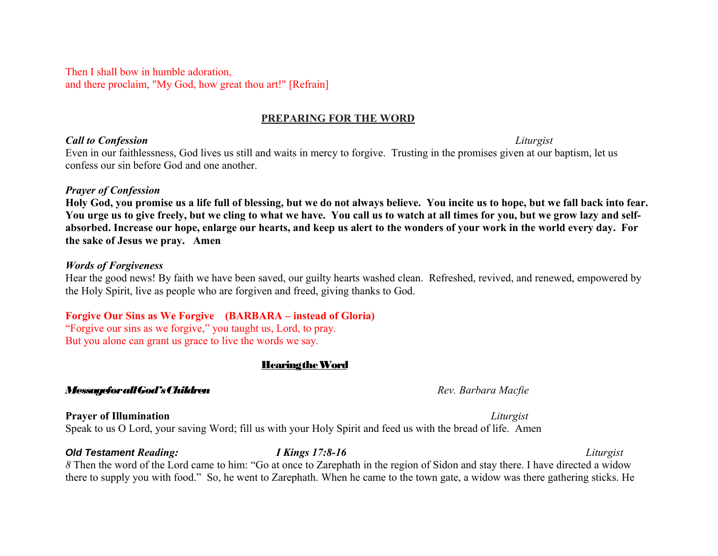Then I shall bow in humble adoration, and there proclaim, "My God, how great thou art!" [Refrain]

### **PREPARING FOR THE WORD**

#### *Call to Confession Liturgist*

Even in our faithlessness, God lives us still and waits in mercy to forgive. Trusting in the promises given at our baptism, let us confess our sin before God and one another.

#### *Prayer of Confession*

**Holy God, you promise us a life full of blessing, but we do not always believe. You incite us to hope, but we fall back into fear. You urge us to give freely, but we cling to what we have. You call us to watch at all times for you, but we grow lazy and selfabsorbed. Increase our hope, enlarge our hearts, and keep us alert to the wonders of your work in the world every day. For the sake of Jesus we pray. Amen**

#### *Words of Forgiveness*

Hear the good news! By faith we have been saved, our guilty hearts washed clean. Refreshed, revived, and renewed, empowered by the Holy Spirit, live as people who are forgiven and freed, giving thanks to God.

#### **Forgive Our Sins as We Forgive (BARBARA – instead of Gloria)**

"Forgive our sins as we forgive," you taught us, Lord, to pray. But you alone can grant us grace to live the words we say.

#### **Hearing the Word**

#### *Messagefor all God's Children Rev. Barbara Macfie Rev. Barbara Macfie*

#### **Prayer of Illumination** *Liturgist*

Speak to us O Lord, your saving Word; fill us with your Holy Spirit and feed us with the bread of life. Amen

#### **Old Testament** *Reading: I Kings 17:8-16 Liturgist*

*8* Then the word of the Lord came to him: "Go at once to Zarephath in the region of Sidon and stay there. I have directed a widow there to supply you with food." So, he went to Zarephath. When he came to the town gate, a widow was there gathering sticks. He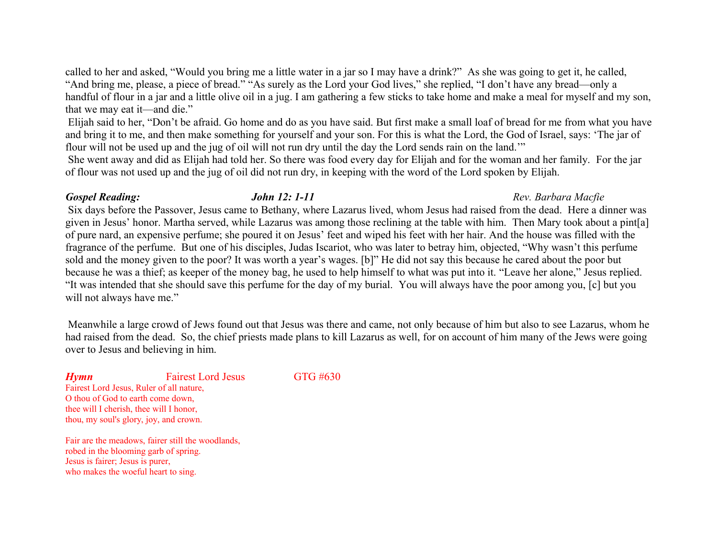called to her and asked, "Would you bring me a little water in a jar so I may have a drink?" As she was going to get it, he called, "And bring me, please, a piece of bread." "As surely as the Lord your God lives," she replied, "I don't have any bread—only a handful of flour in a jar and a little olive oil in a jug. I am gathering a few sticks to take home and make a meal for myself and my son, that we may eat it—and die."

Elijah said to her, "Don't be afraid. Go home and do as you have said. But first make a small loaf of bread for me from what you have and bring it to me, and then make something for yourself and your son. For this is what the Lord, the God of Israel, says: 'The jar of flour will not be used up and the jug of oil will not run dry until the day the Lord sends rain on the land.'"

She went away and did as Elijah had told her. So there was food every day for Elijah and for the woman and her family. For the jar of flour was not used up and the jug of oil did not run dry, in keeping with the word of the Lord spoken by Elijah.

#### *Gospel Reading: John 12: 1-11 Rev. Barbara Macfie*

Six days before the Passover, Jesus came to Bethany, where Lazarus lived, whom Jesus had raised from the dead. Here a dinner was given in Jesus' honor. Martha served, while Lazarus was among those reclining at the table with him. Then Mary took about a pint[a] of pure nard, an expensive perfume; she poured it on Jesus' feet and wiped his feet with her hair. And the house was filled with the fragrance of the perfume. But one of his disciples, Judas Iscariot, who was later to betray him, objected, "Why wasn't this perfume sold and the money given to the poor? It was worth a year's wages. [b]" He did not say this because he cared about the poor but because he was a thief; as keeper of the money bag, he used to help himself to what was put into it. "Leave her alone," Jesus replied. "It was intended that she should save this perfume for the day of my burial. You will always have the poor among you, [c] but you will not always have me."

Meanwhile a large crowd of Jews found out that Jesus was there and came, not only because of him but also to see Lazarus, whom he had raised from the dead. So, the chief priests made plans to kill Lazarus as well, for on account of him many of the Jews were going over to Jesus and believing in him.

#### *Hymn* **Fairest Lord Jesus** GTG #630

Fairest Lord Jesus, Ruler of all nature, O thou of God to earth come down, thee will I cherish, thee will I honor, thou, my soul's glory, joy, and crown.

Fair are the meadows, fairer still the woodlands, robed in the blooming garb of spring. Jesus is fairer; Jesus is purer, who makes the woeful heart to sing.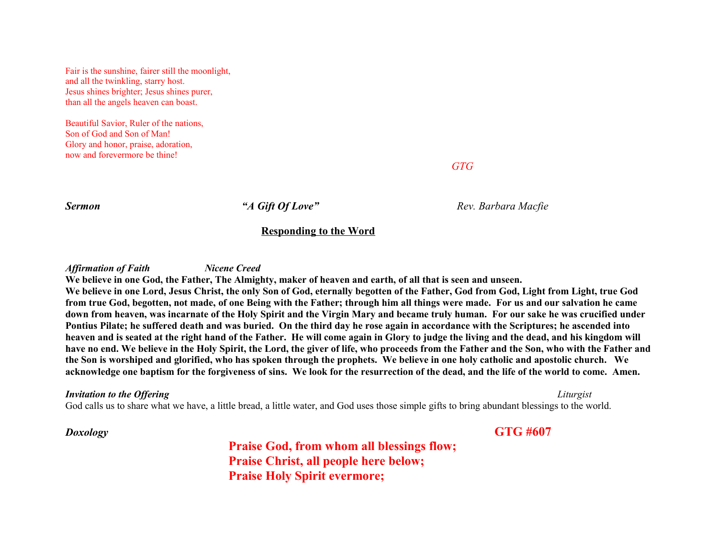Fair is the sunshine, fairer still the moonlight, and all the twinkling, starry host. Jesus shines brighter; Jesus shines purer, than all the angels heaven can boast.

Beautiful Savior, Ruler of the nations, Son of God and Son of Man! Glory and honor, praise, adoration, now and forevermore be thine!

#### *GTG*

*Sermon "A Gift Of Love" Rev. Barbara Macfie*

#### **Responding to the Word**

*Affirmation of Faith Nicene Creed*

**We believe in one God, the Father, The Almighty, maker of heaven and earth, of all that is seen and unseen. We believe in one Lord, Jesus Christ, the only Son of God, eternally begotten of the Father, God from God, Light from Light, true God from true God, begotten, not made, of one Being with the Father; through him all things were made. For us and our salvation he came down from heaven, was incarnate of the Holy Spirit and the Virgin Mary and became truly human. For our sake he was crucified under Pontius Pilate; he suffered death and was buried. On the third day he rose again in accordance with the Scriptures; he ascended into heaven and is seated at the right hand of the Father. He will come again in Glory to judge the living and the dead, and his kingdom will have no end. We believe in the Holy Spirit, the Lord, the giver of life, who proceeds from the Father and the Son, who with the Father and the Son is worshiped and glorified, who has spoken through the prophets. We believe in one holy catholic and apostolic church. We acknowledge one baptism for the forgiveness of sins. We look for the resurrection of the dead, and the life of the world to come. Amen.**

#### *Invitation to the Offering Liturgist*

God calls us to share what we have, a little bread, a little water, and God uses those simple gifts to bring abundant blessings to the world.

# *Doxology* **GTG #607**

**Praise God, from whom all blessings flow; Praise Christ, all people here below; Praise Holy Spirit evermore;**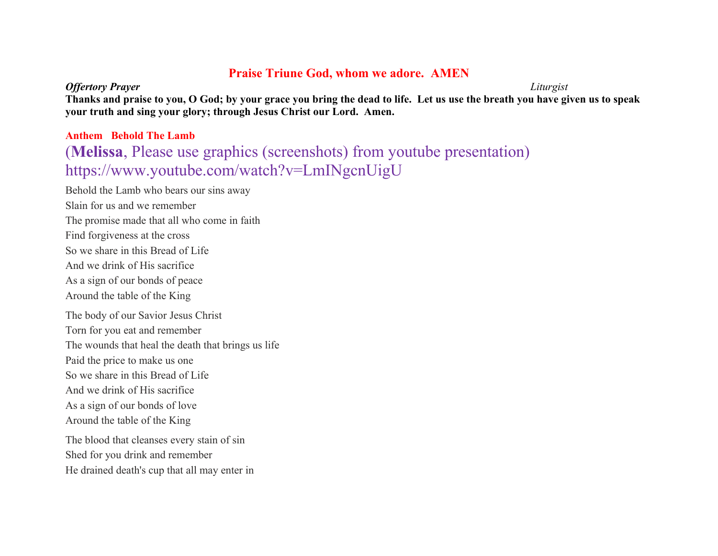# **Praise Triune God, whom we adore. AMEN**

#### *Offertory Prayer Liturgist*

**Thanks and praise to you, O God; by your grace you bring the dead to life. Let us use the breath you have given us to speak your truth and sing your glory; through Jesus Christ our Lord. Amen.**

# **Anthem Behold The Lamb**

(**Melissa**, Please use graphics (screenshots) from youtube presentation) https://www.youtube.com/watch?v=LmINgcnUigU

Behold the Lamb who bears our sins away Slain for us and we remember The promise made that all who come in faith Find forgiveness at the cross So we share in this Bread of Life And we drink of His sacrifice As a sign of our bonds of peace Around the table of the King The body of our Savior Jesus Christ Torn for you eat and remember The wounds that heal the death that brings us life Paid the price to make us one

So we share in this Bread of Life

And we drink of His sacrifice

As a sign of our bonds of love

Around the table of the King

The blood that cleanses every stain of sin Shed for you drink and remember He drained death's cup that all may enter in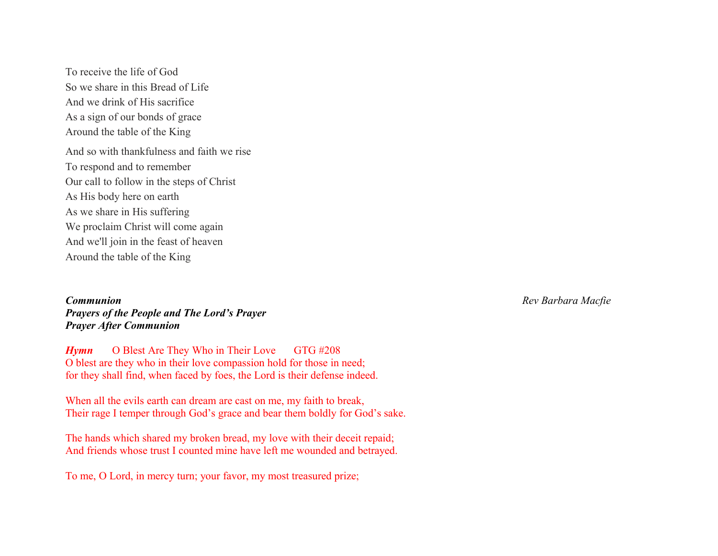To receive the life of God So we share in this Bread of Life And we drink of His sacrifice As a sign of our bonds of grace Around the table of the King

And so with thankfulness and faith we rise To respond and to remember Our call to follow in the steps of Christ As His body here on earth As we share in His suffering We proclaim Christ will come again And we'll join in the feast of heaven Around the table of the King

*Communion Rev Barbara Macfie Prayers of the People and The Lord's Prayer Prayer After Communion*

*Hymn* O Blest Are They Who in Their Love GTG #208 O blest are they who in their love compassion hold for those in need; for they shall find, when faced by foes, the Lord is their defense indeed.

When all the evils earth can dream are cast on me, my faith to break, Their rage I temper through God's grace and bear them boldly for God's sake.

The hands which shared my broken bread, my love with their deceit repaid; And friends whose trust I counted mine have left me wounded and betrayed.

To me, O Lord, in mercy turn; your favor, my most treasured prize;